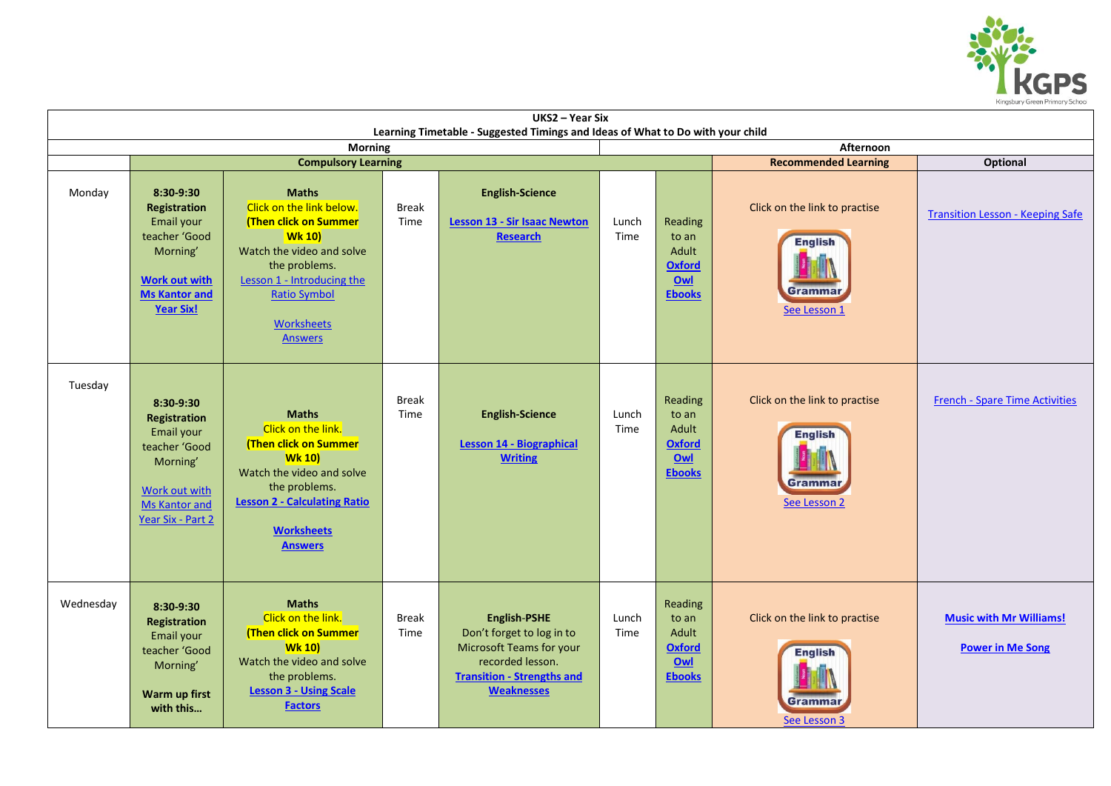

| UKS2 - Year Six                                                                                               |                                                                                                                                                  |                                                                                                                                                                                                                              |                      |                                                                                                                                                            |               |                                                                    |                                                                            |                                                           |  |  |  |  |
|---------------------------------------------------------------------------------------------------------------|--------------------------------------------------------------------------------------------------------------------------------------------------|------------------------------------------------------------------------------------------------------------------------------------------------------------------------------------------------------------------------------|----------------------|------------------------------------------------------------------------------------------------------------------------------------------------------------|---------------|--------------------------------------------------------------------|----------------------------------------------------------------------------|-----------------------------------------------------------|--|--|--|--|
| Learning Timetable - Suggested Timings and Ideas of What to Do with your child<br><b>Morning</b><br>Afternoon |                                                                                                                                                  |                                                                                                                                                                                                                              |                      |                                                                                                                                                            |               |                                                                    |                                                                            |                                                           |  |  |  |  |
|                                                                                                               |                                                                                                                                                  | <b>Compulsory Learning</b>                                                                                                                                                                                                   |                      | <b>Recommended Learning</b><br>Optional                                                                                                                    |               |                                                                    |                                                                            |                                                           |  |  |  |  |
| Monday                                                                                                        | 8:30-9:30<br><b>Registration</b><br>Email your<br>teacher 'Good<br>Morning'<br><b>Work out with</b><br><b>Ms Kantor and</b><br><b>Year Six!</b>  | <b>Maths</b><br>Click on the link below.<br>(Then click on Summer<br><b>Wk 10)</b><br>Watch the video and solve<br>the problems.<br>Lesson 1 - Introducing the<br><b>Ratio Symbol</b><br><b>Worksheets</b><br><b>Answers</b> | <b>Break</b><br>Time | <b>English-Science</b><br><b>Lesson 13 - Sir Isaac Newton</b><br><b>Research</b>                                                                           | Lunch<br>Time | Reading<br>to an<br>Adult<br>Oxford<br>Owl<br><b>Ebooks</b>        | Click on the link to practise<br><b>English</b><br>Grammai<br>See Lesson 1 | <b>Transition Lesson - Keeping Safe</b>                   |  |  |  |  |
| Tuesday                                                                                                       | 8:30-9:30<br><b>Registration</b><br>Email your<br>teacher 'Good<br>Morning'<br><b>Work out with</b><br><b>Ms Kantor and</b><br>Year Six - Part 2 | <b>Maths</b><br>Click on the link.<br>(Then click on Summer<br><b>Wk 10)</b><br>Watch the video and solve<br>the problems.<br><b>Lesson 2 - Calculating Ratio</b><br><b>Worksheets</b><br><b>Answers</b>                     | <b>Break</b><br>Time | <b>English-Science</b><br><b>Lesson 14 - Biographical</b><br><b>Writing</b>                                                                                | Lunch<br>Time | Reading<br>to an<br>Adult<br><b>Oxford</b><br>Owl<br><b>Ebooks</b> | Click on the link to practise<br><b>English</b><br>Grammar<br>See Lesson 2 | <b>French - Spare Time Activities</b>                     |  |  |  |  |
| Wednesday                                                                                                     | 8:30-9:30<br><b>Registration</b><br>Email your<br>teacher 'Good<br>Morning'<br>Warm up first<br>with this                                        | <b>Maths</b><br>Click on the link.<br>(Then click on Summer<br><b>Wk 10)</b><br>Watch the video and solve<br>the problems.<br><b>Lesson 3 - Using Scale</b><br><b>Factors</b>                                                | <b>Break</b><br>Time | <b>English-PSHE</b><br>Don't forget to log in to<br>Microsoft Teams for your<br>recorded lesson.<br><b>Transition - Strengths and</b><br><b>Weaknesses</b> | Lunch<br>Time | Reading<br>to an<br>Adult<br><b>Oxford</b><br>Owl<br><b>Ebooks</b> | Click on the link to practise<br><b>English</b><br>Grammar<br>See Lesson 3 | <b>Music with Mr Williams!</b><br><b>Power in Me Song</b> |  |  |  |  |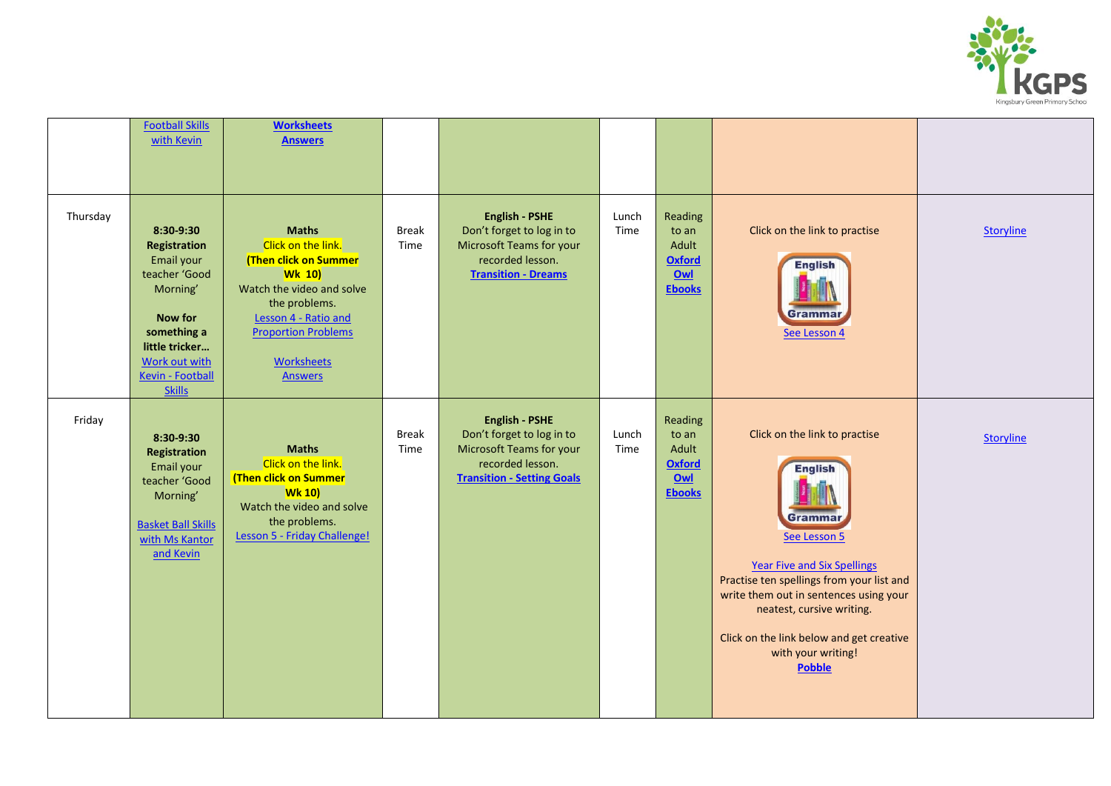

|          | <b>Football Skills</b><br>with Kevin                                                                                                                                   | <b>Worksheets</b><br><b>Answers</b>                                                                                                                                                                                     |                      |                                                                                                                                         |               |                                                                    |                                                                                                                                                                                                                                                                                                                         |                  |
|----------|------------------------------------------------------------------------------------------------------------------------------------------------------------------------|-------------------------------------------------------------------------------------------------------------------------------------------------------------------------------------------------------------------------|----------------------|-----------------------------------------------------------------------------------------------------------------------------------------|---------------|--------------------------------------------------------------------|-------------------------------------------------------------------------------------------------------------------------------------------------------------------------------------------------------------------------------------------------------------------------------------------------------------------------|------------------|
| Thursday | 8:30-9:30<br>Registration<br>Email your<br>teacher 'Good<br>Morning'<br>Now for<br>something a<br>little tricker<br>Work out with<br>Kevin - Football<br><b>Skills</b> | <b>Maths</b><br>Click on the link.<br>(Then click on Summer<br><b>Wk 10)</b><br>Watch the video and solve<br>the problems.<br>Lesson 4 - Ratio and<br><b>Proportion Problems</b><br><b>Worksheets</b><br><b>Answers</b> | <b>Break</b><br>Time | <b>English - PSHE</b><br>Don't forget to log in to<br>Microsoft Teams for your<br>recorded lesson.<br><b>Transition - Dreams</b>        | Lunch<br>Time | Reading<br>to an<br>Adult<br><b>Oxford</b><br>Owl<br><b>Ebooks</b> | Click on the link to practise<br><b>English</b><br>Grammar<br>See Lesson 4                                                                                                                                                                                                                                              | <b>Storyline</b> |
| Friday   | 8:30-9:30<br><b>Registration</b><br>Email your<br>teacher 'Good<br>Morning'<br><b>Basket Ball Skills</b><br>with Ms Kantor<br>and Kevin                                | <b>Maths</b><br>Click on the link.<br>(Then click on Summer<br><b>Wk 10)</b><br>Watch the video and solve<br>the problems.<br>Lesson 5 - Friday Challenge!                                                              | <b>Break</b><br>Time | <b>English - PSHE</b><br>Don't forget to log in to<br>Microsoft Teams for your<br>recorded lesson.<br><b>Transition - Setting Goals</b> | Lunch<br>Time | Reading<br>to an<br>Adult<br><b>Oxford</b><br>Qw<br><b>Ebooks</b>  | Click on the link to practise<br><b>English</b><br>Grammai<br>See Lesson 5<br><b>Year Five and Six Spellings</b><br>Practise ten spellings from your list and<br>write them out in sentences using your<br>neatest, cursive writing.<br>Click on the link below and get creative<br>with your writing!<br><b>Pobble</b> | <b>Storyline</b> |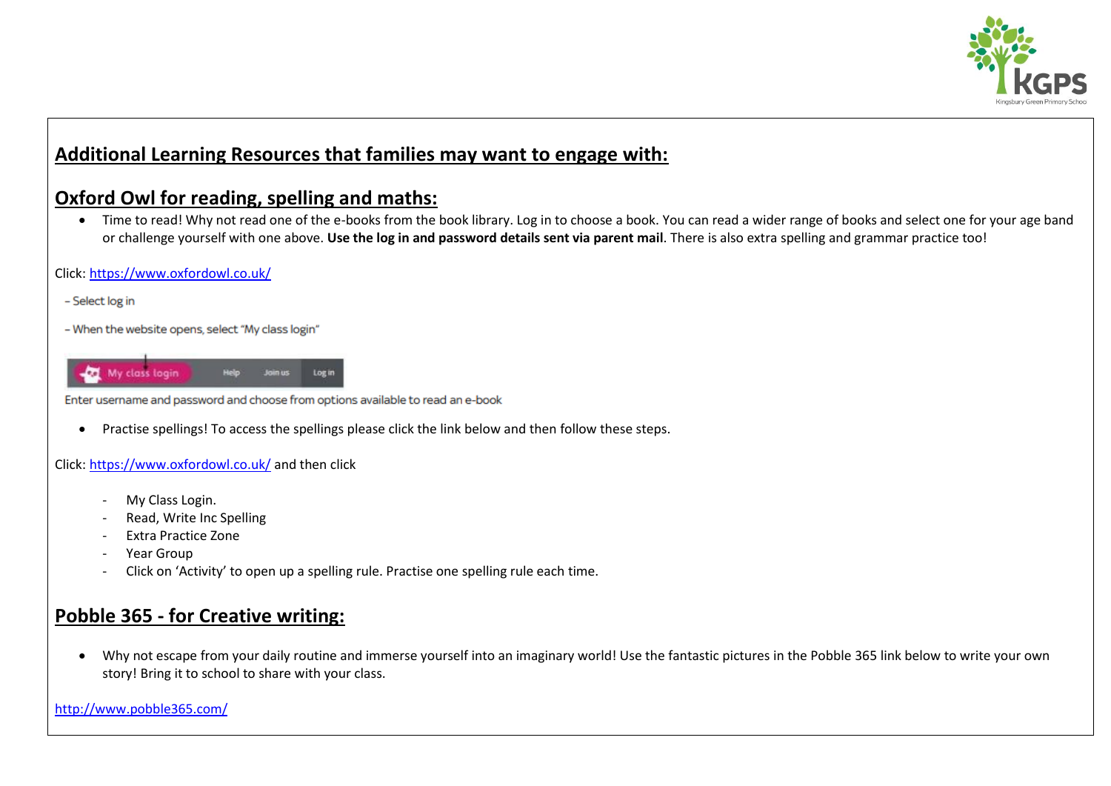

## **Additional Learning Resources that families may want to engage with:**

### **Oxford Owl for reading, spelling and maths:**

 Time to read! Why not read one of the e-books from the book library. Log in to choose a book. You can read a wider range of books and select one for your age band or challenge yourself with one above. **Use the log in and password details sent via parent mail**. There is also extra spelling and grammar practice too!

#### Click[: https://www.oxfordowl.co.uk/](https://www.oxfordowl.co.uk/)

- Select log in
- When the website opens, select "My class login"



Enter username and password and choose from options available to read an e-book

Practise spellings! To access the spellings please click the link below and then follow these steps.

#### Click[: https://www.oxfordowl.co.uk/](https://www.oxfordowl.co.uk/) and then click

- My Class Login.
- Read, Write Inc Spelling
- Extra Practice Zone
- Year Group
- Click on 'Activity' to open up a spelling rule. Practise one spelling rule each time.

## **Pobble 365 - for Creative writing:**

 Why not escape from your daily routine and immerse yourself into an imaginary world! Use the fantastic pictures in the Pobble 365 link below to write your own story! Bring it to school to share with your class.

<http://www.pobble365.com/>